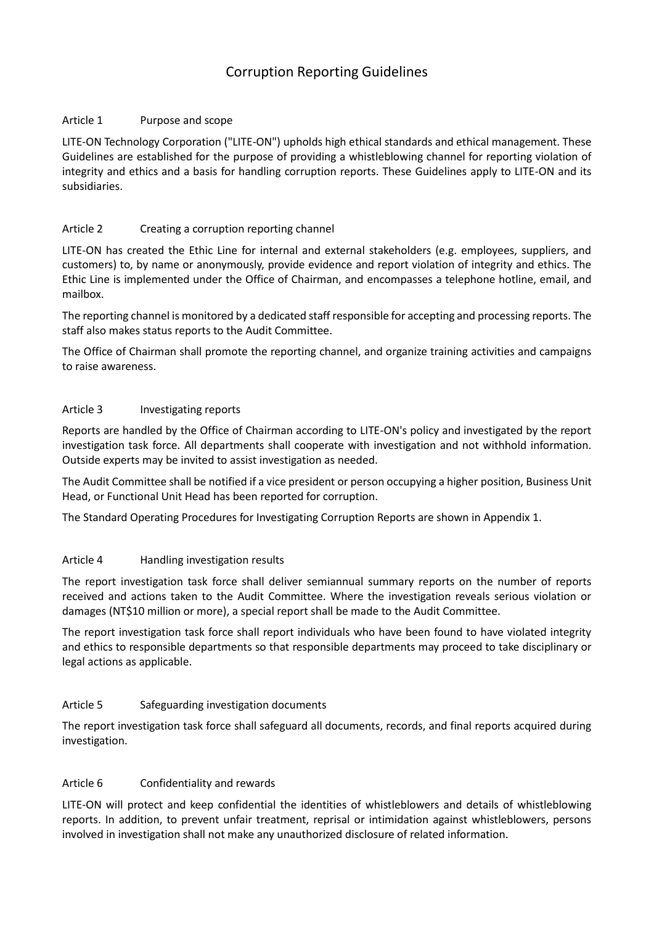# Corruption Reporting Guidelines

#### Article 1 Purpose and scope

LITE-ON Technology Corporation ("LITE-ON") upholds high ethical standards and ethical management. These Guidelines are established for the purpose of providing a whistleblowing channel for reporting violation of integrity and ethics and a basis for handling corruption reports. These Guidelines apply to LITE-ON and its subsidiaries.

### Article 2 Creating a corruption reporting channel

LITE-ON has created the Ethic Line for internal and external stakeholders (e.g. employees, suppliers, and customers) to, by name or anonymously, provide evidence and report violation of integrity and ethics. The Ethic Line is implemented under the Office of Chairman, and encompasses a telephone hotline, email, and mailbox.

The reporting channel is monitored by a dedicated staff responsible for accepting and processing reports. The staff also makes status reports to the Audit Committee.

The Office of Chairman shall promote the reporting channel, and organize training activities and campaigns to raise awareness.

#### Article 3 Investigating reports

Reports are handled by the Office of Chairman according to LITE-ON's policy and investigated by the report investigation task force. All departments shall cooperate with investigation and not withhold information. Outside experts may be invited to assist investigation as needed.

The Audit Committee shall be notified if a vice president or person occupying a higher position, Business Unit Head, or Functional Unit Head has been reported for corruption.

The Standard Operating Procedures for Investigating Corruption Reports are shown in Appendix 1.

#### Article 4 Handling investigation results

The report investigation task force shall deliver semiannual summary reports on the number of reports received and actions taken to the Audit Committee. Where the investigation reveals serious violation or damages (NT\$10 million or more), a special report shall be made to the Audit Committee.

The report investigation task force shall report individuals who have been found to have violated integrity and ethics to responsible departments so that responsible departments may proceed to take disciplinary or legal actions as applicable.

#### Article 5 Safeguarding investigation documents

The report investigation task force shall safeguard all documents, records, and final reports acquired during investigation.

#### Article 6 Confidentiality and rewards

LITE-ON will protect and keep confidential the identities of whistleblowers and details of whistleblowing reports. In addition, to prevent unfair treatment, reprisal or intimidation against whistleblowers, persons involved in investigation shall not make any unauthorized disclosure of related information.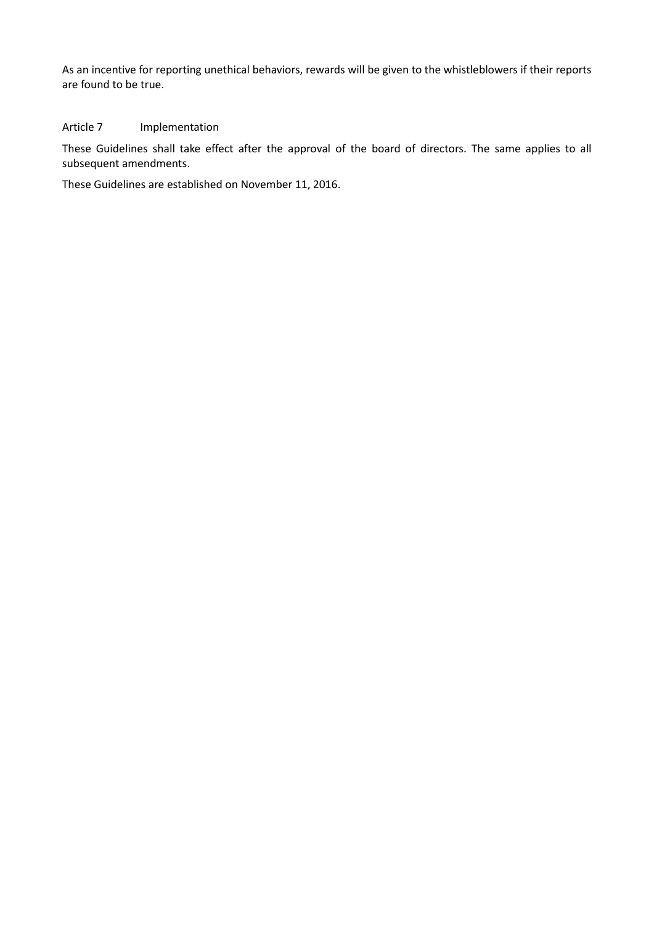As an incentive for reporting unethical behaviors, rewards will be given to the whistleblowers if their reports are found to be true.

## Article 7 Implementation

These Guidelines shall take effect after the approval of the board of directors. The same applies to all subsequent amendments.

These Guidelines are established on November 11, 2016.